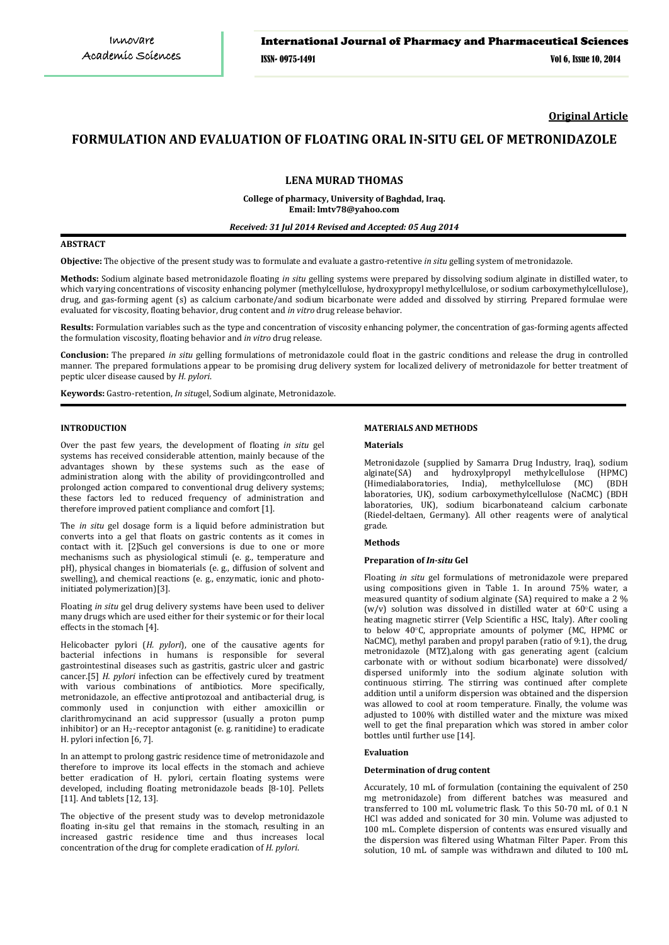**Original Article**

# **FORMULATION AND EVALUATION OF FLOATING ORAL IN-SITU GEL OF METRONIDAZOLE**

# **LENA MURAD THOMAS**

**College of pharmacy, University of Baghdad, Iraq. Email: lmtv78@yahoo.com**

# *Received: 31 Jul 2014 Revised and Accepted: 05 Aug 2014*

### **ABSTRACT**

**Objective:** The objective of the present study was to formulate and evaluate a gastro-retentive *in situ* gelling system of metronidazole.

**Methods:** Sodium alginate based metronidazole floating *in situ* gelling systems were prepared by dissolving sodium alginate in distilled water, to which varying concentrations of viscosity enhancing polymer (methylcellulose, hydroxypropyl methylcellulose, or sodium carboxymethylcellulose), drug, and gas-forming agent (s) as calcium carbonate/and sodium bicarbonate were added and dissolved by stirring. Prepared formulae were evaluated for viscosity, floating behavior, drug content and *in vitro* drug release behavior.

**Results:** Formulation variables such as the type and concentration of viscosity enhancing polymer, the concentration of gas-forming agents affected the formulation viscosity, floating behavior and *in vitro* drug release.

**Conclusion:** The prepared *in situ* gelling formulations of metronidazole could float in the gastric conditions and release the drug in controlled manner. The prepared formulations appear to be promising drug delivery system for localized delivery of metronidazole for better treatment of peptic ulcer disease caused by *H. pylori*.

**Keywords:** Gastro-retention, *In situ*gel, Sodium alginate, Metronidazole.

#### **INTRODUCTION**

Over the past few years, the development of floating *in situ* gel systems has received considerable attention, mainly because of the advantages shown by these systems such as the ease of administration along with the ability of providingcontrolled and prolonged action compared to conventional drug delivery systems; these factors led to reduced frequency of administration and therefore improved patient compliance and comfort [1].

The *in situ* gel dosage form is a liquid before administration but converts into a gel that floats on gastric contents as it comes in contact with it. [2]Such gel conversions is due to one or more mechanisms such as physiological stimuli (e. g., temperature and pH), physical changes in biomaterials (e. g., diffusion of solvent and swelling), and chemical reactions (e. g., enzymatic, ionic and photoinitiated polymerization)[3].

Floating *in situ* gel drug delivery systems have been used to deliver many drugs which are used either for their systemic or for their local effects in the stomach [4].

Helicobacter pylori (*H. pylori*), one of the causative agents for bacterial infections in humans is responsible for several gastrointestinal diseases such as gastritis, gastric ulcer and gastric cancer.[5] *H. pylori* infection can be effectively cured by treatment with various combinations of antibiotics. More specifically, metronidazole, an effective antiprotozoal and antibacterial drug, is commonly used in conjunction with either amoxicillin or clarithromycinand an acid suppressor (usually a proton pump inhibitor) or an H2 -receptor antagonist (e. g. ranitidine) to eradicate H. pylori infection [6, 7].

In an attempt to prolong gastric residence time of metronidazole and therefore to improve its local effects in the stomach and achieve better eradication of H. pylori, certain floating systems were developed, including floating metronidazole beads [8-10]. Pellets [11]. And tablets [12, 13].

The objective of the present study was to develop metronidazole floating in-situ gel that remains in the stomach, resulting in an increased gastric residence time and thus increases local concentration of the drug for complete eradication of *H. pylori*.

### **MATERIALS AND METHODS**

#### **Materials**

Metronidazole (supplied by Samarra Drug Industry, Iraq), sodium alginate<br>(SA) and hydroxylpropyl methylcellulose (HPMC) (Himedialaboratories, India) methydes!<br>" alginate(SA) and hydroxylpropyl methylcellulose (Himedialaboratories, India), methylcellulose (MC (Himedialaboratories, India), laboratories, UK), sodium carboxymethylcellulose (NaCMC) (BDH laboratories, UK), sodium bicarbonateand calcium carbonate (Riedel-deltaen, Germany). All other reagents were of analytical grade.

#### **Methods**

#### **Preparation of** *In-situ* **Gel**

Floating *in situ* gel formulations of metronidazole were prepared using compositions given in Table 1. In around 75% water, a measured quantity of sodium alginate (SA) required to make a 2 % (w/v) solution was dissolved in distilled water at  $60^{\circ}$ C using a heating magnetic stirrer (Velp Scientific a HSC, Italy). After cooling to below 40○ C, appropriate amounts of polymer (MC, HPMC or NaCMC), methyl paraben and propyl paraben (ratio of 9:1), the drug, metronidazole (MTZ),along with gas generating agent (calcium carbonate with or without sodium bicarbonate) were dissolved/ dispersed uniformly into the sodium alginate solution with continuous stirring. The stirring was continued after complete addition until a uniform dispersion was obtained and the dispersion was allowed to cool at room temperature. Finally, the volume was adjusted to 100% with distilled water and the mixture was mixed well to get the final preparation which was stored in amber color bottles until further use [14].

#### **Evaluation**

#### **Determination of drug content**

Accurately, 10 mL of formulation (containing the equivalent of 250 mg metronidazole) from different batches was measured and transferred to 100 mL volumetric flask. To this 50-70 mL of 0.1 N HCl was added and sonicated for 30 min. Volume was adjusted to 100 mL. Complete dispersion of contents was ensured visually and the dispersion was filtered using Whatman Filter Paper. From this solution, 10 mL of sample was withdrawn and diluted to 100 mL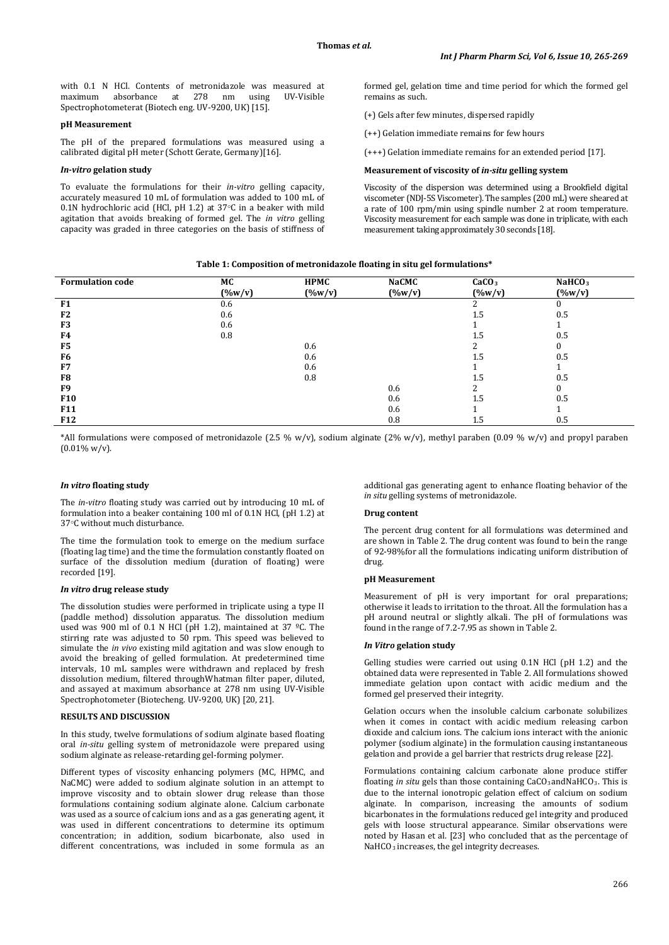with 0.1 N HCl. Contents of metronidazole was measured at maximum absorbance at 278 nm using UV-Visible maximum absorbance at 278 nm using UV-Visible Spectrophotometerat (Biotech eng. UV-9200, UK) [15].

#### **pH Measurement**

The pH of the prepared formulations was measured using a calibrated digital pH meter (Schott Gerate, Germany)[16].

### *In-vitro* **gelation study**

To evaluate the formulations for their *in-vitro* gelling capacity, accurately measured 10 mL of formulation was added to 100 mL of 0.1N hydrochloric acid (HCl, pH 1.2) at 37○ C in a beaker with mild agitation that avoids breaking of formed gel. The *in vitro* gelling capacity was graded in three categories on the basis of stiffness of formed gel, gelation time and time period for which the formed gel remains as such.

- (+) Gels after few minutes, dispersed rapidly
- (++) Gelation immediate remains for few hours

(+++) Gelation immediate remains for an extended period [17].

#### **Measurement of viscosity of** *in-situ* **gelling system**

Viscosity of the dispersion was determined using a Brookfield digital viscometer (NDJ-5S Viscometer). The samples (200 mL) were sheared at a rate of 100 rpm/min using spindle number 2 at room temperature. Viscosity measurement for each sample was done in triplicate, with each measurement taking approximately 30 seconds [18].

| <b>Formulation code</b> | МC        | <b>HPMC</b> | <b>NaCMC</b> | CaCO <sub>3</sub> | NaHCO <sub>3</sub> |  |
|-------------------------|-----------|-------------|--------------|-------------------|--------------------|--|
|                         | $(\%w/v)$ | $(\%w/v)$   | $(\%w/v)$    | $(\%w/v)$         | $(\frac{0}{w})$    |  |
| F1                      | 0.6       |             |              |                   |                    |  |
| F <sub>2</sub>          | 0.6       |             |              | 1.5               | 0.5                |  |
| F <sub>3</sub>          | 0.6       |             |              |                   |                    |  |
| F4                      | 0.8       |             |              | 1.5               | 0.5                |  |
| F5                      |           | 0.6         |              |                   |                    |  |
| F6                      |           | 0.6         |              | 1.5               | 0.5                |  |
| F7                      |           | 0.6         |              |                   |                    |  |
| F8                      |           | 0.8         |              | 1.5               | 0.5                |  |
| F9                      |           |             | 0.6          |                   |                    |  |
| <b>F10</b>              |           |             | 0.6          | 1.5               | 0.5                |  |
| <b>F11</b>              |           |             | 0.6          |                   |                    |  |
| <b>F12</b>              |           |             | 0.8          | 1.5               | 0.5                |  |

\*All formulations were composed of metronidazole (2.5 % w/v), sodium alginate (2% w/v), methyl paraben (0.09 % w/v) and propyl paraben  $(0.01\% \text{ w/v}).$ 

# *In vitro* **floating study**

The *in-vitro* floating study was carried out by introducing 10 mL of formulation into a beaker containing 100 ml of 0.1N HCl, (pH 1.2) at 37○ C without much disturbance.

The time the formulation took to emerge on the medium surface (floating lag time) and the time the formulation constantly floated on surface of the dissolution medium (duration of floating) were recorded [19].

### *In vitro* **drug release study**

The dissolution studies were performed in triplicate using a type II (paddle method) dissolution apparatus. The dissolution medium used was 900 ml of 0.1 N HCl (pH 1.2), maintained at 37  $^{\circ}$ C. The stirring rate was adjusted to  $50$  rpm. This speed was believed to simulate the *in vivo* existing mild agitation and was slow enough to avoid the breaking of gelled formulation. At predetermined time intervals, 10 mL samples were withdrawn and replaced by fresh dissolution medium, filtered throughWhatman filter paper, diluted, and assayed at maximum absorbance at 278 nm using UV-Visible Spectrophotometer (Biotecheng. UV-9200, UK) [20, 21].

### **RESULTS AND DISCUSSION**

In this study, twelve formulations of sodium alginate based floating oral *in-situ* gelling system of metronidazole were prepared using sodium alginate as release-retarding gel-forming polymer.

Different types of viscosity enhancing polymers (MC, HPMC, and NaCMC) were added to sodium alginate solution in an attempt to improve viscosity and to obtain slower drug release than those formulations containing sodium alginate alone. Calcium carbonate was used as a source of calcium ions and as a gas generating agent, it was used in different concentrations to determine its optimum concentration; in addition, sodium bicarbonate, also used in different concentrations, was included in some formula as an

additional gas generating agent to enhance floating behavior of the *in situ* gelling systems of metronidazole.

# **Drug content**

The percent drug content for all formulations was determined and are shown in Table 2. The drug content was found to bein the range of 92-98%for all the formulations indicating uniform distribution of drug.

#### **pH Measurement**

Measurement of pH is very important for oral preparations; otherwise it leads to irritation to the throat. All the formulation has a pH around neutral or slightly alkali. The pH of formulations was found in the range of 7.2-7.95 as shown in Table 2.

#### *In Vitro* **gelation study**

Gelling studies were carried out using 0.1N HCl (pH 1.2) and the obtained data were represented in Table 2. All formulations showed immediate gelation upon contact with acidic medium and the formed gel preserved their integrity.

Gelation occurs when the insoluble calcium carbonate solubilizes when it comes in contact with acidic medium releasing carbon dioxide and calcium ions. The calcium ions interact with the anionic polymer (sodium alginate) in the formulation causing instantaneous gelation and provide a gel barrier that restricts drug release [22].

Formulations containing calcium carbonate alone produce stiffer floating *in situ* gels than those containing CaCO<sub>3</sub> and NaHCO<sub>3</sub>. This is due to the internal ionotropic gelation effect of calcium on sodium alginate. In comparison, increasing the amounts of sodium bicarbonates in the formulations reduced gel integrity and produced gels with loose structural appearance. Similar observations were noted by Hasan et al. [23] who concluded that as the percentage of NaHCO<sub>3</sub> increases, the gel integrity decreases.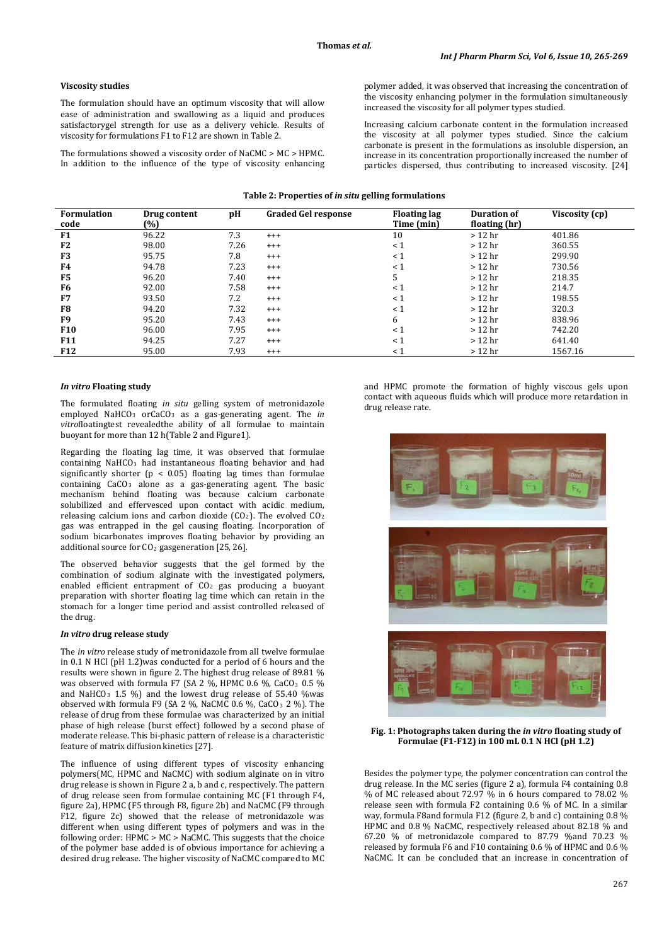### **Viscosity studies**

The formulation should have an optimum viscosity that will allow ease of administration and swallowing as a liquid and produces satisfactorygel strength for use as a delivery vehicle. Results of viscosity for formulations F1 to F12 are shown in Table 2.

The formulations showed a viscosity order of NaCMC > MC > HPMC. In addition to the influence of the type of viscosity enhancing polymer added, it was observed that increasing the concentration of the viscosity enhancing polymer in the formulation simultaneously increased the viscosity for all polymer types studied.

Increasing calcium carbonate content in the formulation increased the viscosity at all polymer types studied. Since the calcium carbonate is present in the formulations as insoluble dispersion, an increase in its concentration proportionally increased the number of particles dispersed, thus contributing to increased viscosity. [24]

#### **Table 2: Properties of** *in situ* **gelling formulations**

| <b>Formulation</b><br>code | Drug content<br>(%) | рH   | <b>Graded Gel response</b> | <b>Floating lag</b><br>Time (min) | <b>Duration of</b><br>floating (hr) | Viscosity (cp) |
|----------------------------|---------------------|------|----------------------------|-----------------------------------|-------------------------------------|----------------|
| F1                         | 96.22               | 7.3  | $^{+++}$                   | 10                                | $>12$ hr                            | 401.86         |
| F <sub>2</sub>             | 98.00               | 7.26 | $^{+++}$                   | $\leq 1$                          | $>12$ hr                            | 360.55         |
| F <sub>3</sub>             | 95.75               | 7.8  | $^{+++}$                   | $\leq 1$                          | $>12$ hr                            | 299.90         |
| F4                         | 94.78               | 7.23 | $^{+++}$                   | $\leq 1$                          | $>12$ hr                            | 730.56         |
| F <sub>5</sub>             | 96.20               | 7.40 | $^{+++}$                   | 5                                 | $>12$ hr                            | 218.35         |
| F <sub>6</sub>             | 92.00               | 7.58 | $^{+++}$                   | $<$ 1                             | $>12$ hr                            | 214.7          |
| F7                         | 93.50               | 7.2  | $^{+++}$                   | $\leq 1$                          | $>12$ hr                            | 198.55         |
| F <sub>8</sub>             | 94.20               | 7.32 | $^{+++}$                   | $\leq 1$                          | $>12$ hr                            | 320.3          |
| F <sub>9</sub>             | 95.20               | 7.43 | $^{+++}$                   | 6                                 | $>12$ hr                            | 838.96         |
| <b>F10</b>                 | 96.00               | 7.95 | $^{+++}$                   | $\leq 1$                          | $>12$ hr                            | 742.20         |
| <b>F11</b>                 | 94.25               | 7.27 | $^{+++}$                   | $<$ 1                             | $>12$ hr                            | 641.40         |
| <b>F12</b>                 | 95.00               | 7.93 | $^{+++}$                   | $\leq 1$                          | $>12$ hr                            | 1567.16        |

#### *In vitro* **Floating study**

The formulated floating *in situ* gelling system of metronidazole employed NaHCO<sub>3</sub> orCaCO<sub>3</sub> as a gas-generating agent. The *in vitro*floatingtest revealedthe ability of all formulae to maintain buoyant for more than 12 h(Table 2 and Figure1).

Regarding the floating lag time, it was observed that formulae containing NaHCO <sup>3</sup> had instantaneous floating behavior and had significantly shorter ( $p < 0.05$ ) floating lag times than formulae containing  $CaCO<sub>3</sub>$  alone as a gas-generating agent. The basic mechanism behind floating was because calcium carbonate solubilized and effervesced upon contact with acidic medium, releasing calcium ions and carbon dioxide  $(CO<sub>2</sub>)$ . The evolved  $CO<sub>2</sub>$ gas was entrapped in the gel causing floating. Incorporation of sodium bicarbonates improves floating behavior by providing an additional source for CO2 gasgeneration [25, 26].

The observed behavior suggests that the gel formed by the combination of sodium alginate with the investigated polymers, enabled efficient entrapment of CO 2 gas producing a buoyant preparation with shorter floating lag time which can retain in the stomach for a longer time period and assist controlled released of the drug.

# *In vitro* **drug release study**

The *in vitro* release study of metronidazole from all twelve formulae in 0.1 N HCl (pH 1.2)was conducted for a period of 6 hours and the results were shown in figure 2. The highest drug release of 89.81 % was observed with formula F7 (SA 2 %, HPMC 0.6 %, CaCO<sub>3</sub> 0.5 % and NaHCO<sub>3</sub> 1.5 %) and the lowest drug release of 55.40 %was observed with formula F9 (SA 2  $\%$ , NaCMC 0.6  $\%$ , CaCO<sub>3</sub> 2  $\%$ ). The release of drug from these formulae was characterized by an initial phase of high release (burst effect) followed by a second phase of moderate release. This bi-phasic pattern of release is a characteristic feature of matrix diffusion kinetics [27].

The influence of using different types of viscosity enhancing polymers(MC, HPMC and NaCMC) with sodium alginate on in vitro drug release is shown in Figure 2 a, b and c, respectively. The pattern of drug release seen from formulae containing MC (F1 through F4, figure 2a), HPMC (F5 through F8, figure 2b) and NaCMC (F9 through F12, figure 2c) showed that the release of metronidazole was different when using different types of polymers and was in the following order: HPMC > MC > NaCMC. This suggests that the choice of the polymer base added is of obvious importance for achieving a desired drug release. The higher viscosity of NaCMC compared to MC and HPMC promote the formation of highly viscous gels upon contact with aqueous fluids which will produce more retardation in drug release rate.



**Fig. 1: Photographs taken during the** *in vitro* **floating study of Formulae (F1-F12) in 100 mL 0.1 N HCl (pH 1.2)**

Besides the polymer type, the polymer concentration can control the drug release. In the MC series (figure 2 a), formula F4 containing 0.8 % of MC released about 72.97 % in 6 hours compared to 78.02 % release seen with formula F2 containing 0.6 % of MC. In a similar way, formula F8and formula F12 (figure 2, b and c) containing 0.8 % HPMC and 0.8 % NaCMC, respectively released about 82.18 % and 67.20 % of metronidazole compared to 87.79 %and 70.23 % released by formula F6 and F10 containing 0.6 % of HPMC and 0.6 % NaCMC. It can be concluded that an increase in concentration of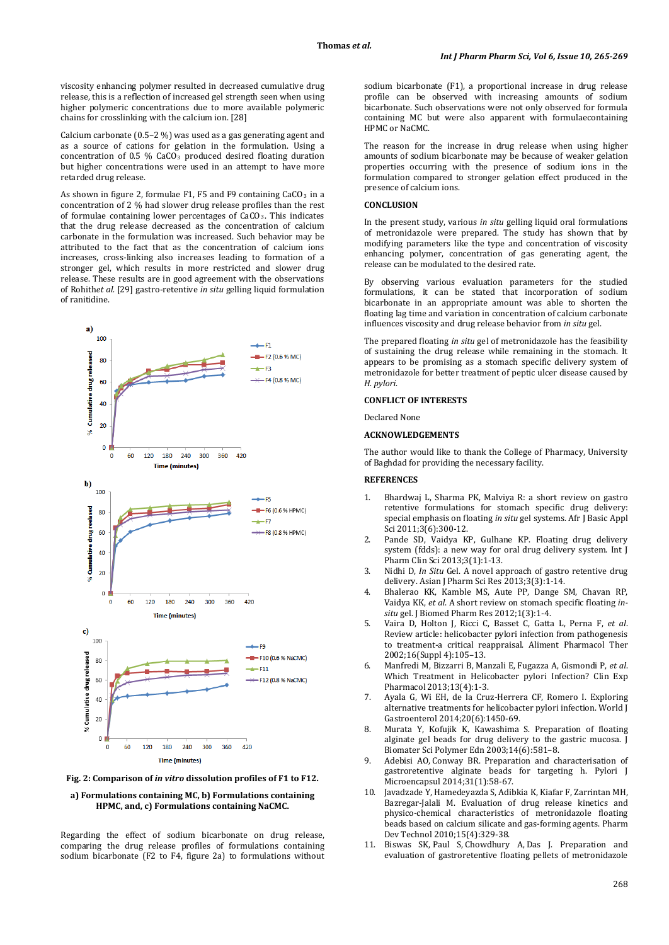viscosity enhancing polymer resulted in decreased cumulative drug release, this is a reflection of increased gel strength seen when using higher polymeric concentrations due to more available polymeric chains for crosslinking with the calcium ion. [28]

Calcium carbonate (0.5–2 %) was used as a gas generating agent and as a source of cations for gelation in the formulation. Using a  $concentration$  of 0.5  $\%$  CaCO $_3$  produced desired floating duration but higher concentrations were used in an attempt to have more retarded drug release.

As shown in figure 2, formulae F1, F5 and F9 containing  $\text{CaCO}_3$  in a concentration of 2 % had slower drug release profiles than the rest of formulae containing lower percentages of CaCO<sub>3</sub>. This indicates that the drug release decreased as the concentration of calcium carbonate in the formulation was increased. Such behavior may be attributed to the fact that as the concentration of calcium ions increases, cross-linking also increases leading to formation of a stronger gel, which results in more restricted and slower drug release. These results are in good agreement with the observations of Rohith*et al.* [29] gastro-retentive *in situ* gelling liquid formulation of ranitidine.



**Fig. 2: Comparison of** *in vitro* **dissolution profiles of F1 to F12.**

#### **a) Formulations containing MC, b) Formulations containing HPMC, and, c) Formulations containing NaCMC.**

Regarding the effect of sodium bicarbonate on drug release, comparing the drug release profiles of formulations containing sodium bicarbonate (F2 to F4, figure 2a) to formulations without

sodium bicarbonate (F1), a proportional increase in drug release profile can be observed with increasing amounts of sodium bicarbonate. Such observations were not only observed for formula containing MC but were also apparent with formulaecontaining HPMC or NaCMC.

The reason for the increase in drug release when using higher amounts of sodium bicarbonate may be because of weaker gelation properties occurring with the presence of sodium ions in the formulation compared to stronger gelation effect produced in the presence of calcium ions.

# **CONCLUSION**

In the present study, various *in situ* gelling liquid oral formulations of metronidazole were prepared. The study has shown that by modifying parameters like the type and concentration of viscosity enhancing polymer, concentration of gas generating agent, the release can be modulated to the desired rate.

By observing various evaluation parameters for the studied formulations, it can be stated that incorporation of sodium bicarbonate in an appropriate amount was able to shorten the floating lag time and variation in concentration of calcium carbonate influences viscosity and drug release behavior from *in situ* gel.

The prepared floating *in situ* gel of metronidazole has the feasibility of sustaining the drug release while remaining in the stomach. It appears to be promising as a stomach specific delivery system of metronidazole for better treatment of peptic ulcer disease caused by *H. pylori*.

### **CONFLICT OF INTERESTS**

Declared None

### **ACKNOWLEDGEMENTS**

The author would like to thank the College of Pharmacy, University of Baghdad for providing the necessary facility.

### **REFERENCES**

- 1. Bhardwaj L, Sharma PK, Malviya R: a short review on gastro retentive formulations for stomach specific drug delivery: special emphasis on floating *in situ* gel systems. Afr J Basic Appl Sci 2011;3(6):300-12.
- 2. Pande SD, Vaidya KP, Gulhane KP. Floating drug delivery system (fdds): a new way for oral drug delivery system. Int J Pharm Clin Sci 2013;3(1):1-13.
- 3. Nidhi D, *In Situ* Gel. A novel approach of gastro retentive drug delivery. Asian J Pharm Sci Res 2013;3(3):1-14.
- 4. Bhalerao KK, Kamble MS, Aute PP, Dange SM, Chavan RP, Vaidya KK, *et al*. A short review on stomach specific floating *insitu* gel. J Biomed Pharm Res 2012;1(3):1-4.
- 5. Vaira D, Holton J, Ricci C, Basset C, Gatta L, Perna F, *et al*. Review article: helicobacter pylori infection from pathogenesis to treatment-a critical reappraisal. Aliment Pharmacol Ther 2002;16(Suppl 4):105–13.
- 6. Manfredi M, Bizzarri B, Manzali E, Fugazza A, Gismondi P, *et al*. Which Treatment in Helicobacter pylori Infection? Clin Exp Pharmacol 2013;13(4):1-3.
- 7. Ayala G, Wi EH, de la Cruz-Herrera CF, Romero I. Exploring alternative treatments for helicobacter pylori infection. World J Gastroenterol 2014;20(6):1450-69.
- 8. Murata Y, Kofujik K, Kawashima S. Preparation of floating alginate gel beads for drug delivery to the gastric mucosa. J Biomater Sci Polymer Edn 2003;14(6):581–8.
- 9. [Adebisi AO,](http://www.ncbi.nlm.nih.gov/pubmed?term=Adebisi%20AO%5BAuthor%5D&cauthor=true&cauthor_uid=23795906) [Conway BR.](http://www.ncbi.nlm.nih.gov/pubmed?term=Conway%20BR%5BAuthor%5D&cauthor=true&cauthor_uid=23795906) Preparation and characterisation of gastroretentive alginate beads for targeting h. Pylori [J](http://www.ncbi.nlm.nih.gov/pubmed/23795906)  [Microencapsul](http://www.ncbi.nlm.nih.gov/pubmed/23795906) 2014;31(1):58-67.
- 10. Javadzade Y, Hamedeyazda S, Adibkia K, Kiafar F, Zarrintan MH, Bazregar-Jalali M. Evaluation of drug release kinetics and physico-chemical characteristics of metronidazole floating beads based on calcium silicate and gas-forming agents. Pharm Dev Technol 2010;15(4):329-38.
- 11. [Biswas SK,](http://www.ncbi.nlm.nih.gov/pubmed?term=Biswas%20SK%5BAuthor%5D&cauthor=true&cauthor_uid=24175426) [Paul S,](http://www.ncbi.nlm.nih.gov/pubmed?term=Paul%20S%5BAuthor%5D&cauthor=true&cauthor_uid=24175426) [Chowdhury A,](http://www.ncbi.nlm.nih.gov/pubmed?term=Chowdhury%20A%5BAuthor%5D&cauthor=true&cauthor_uid=24175426) [Das J.](http://www.ncbi.nlm.nih.gov/pubmed?term=Das%20J%5BAuthor%5D&cauthor=true&cauthor_uid=24175426) Preparation and evaluation of gastroretentive floating pellets of metronidazole